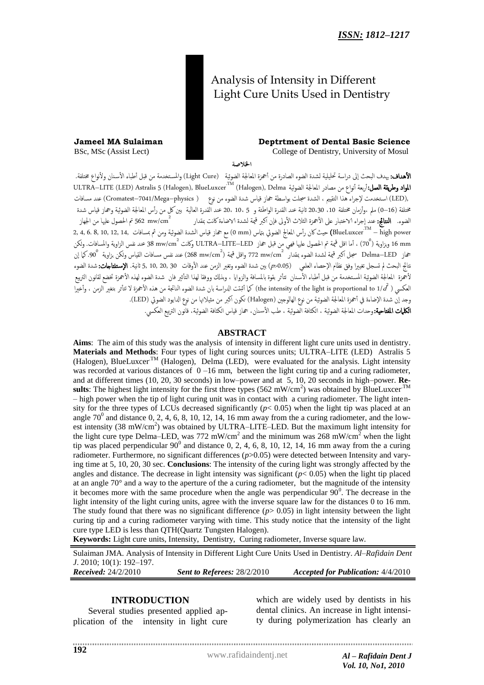# Analysis of Intensity in Different Light Cure Units Used in Dentistry

## **Jameel MA Sulaiman Deptrtment of Dental Basic Science**

BSc, MSc (Assist Lect) College of Dentistry, University of Mosul

الخلاصة

الأهداف: يهدف البحث إلى دراسة تحليلية لشدة الضوء الصادرة من أجحزة المعالجة الضوئية (Light Cure) والمستخدمة من قبل أطباء الأسنان ولأنواع مختلفة. Delma المواد وطريقة العمل:أربعة أنواع من مصادر المعالجة الضوئية ULTRA–LITE (LED) Astralis 5 (Halogen), BlueLuxcer TM ,(LED) استخدمت لإجراء هذا التقييم ، الشدة سجلت بواسطة جماز قياس شدة الضوء من نوع ( Cromatest–7041/Mega–physics) عند مسافات مختلفة (0–0) ملم ،وأزمان مختلفة 10، 20،30 ثانية عند القدرة الواطئة و 5 ،10 ،20 عند القدرة العالية بن كل من رأس المعالجة الضوئية وجماز قياس شدة .<br>الضوء. **النتائج:** عند إجراء الاختبار على الأجمزة الثلاث الأولى فإن اكبر قيمة لشدة الاضاءة كانت بمقدار ۔<br>2 mw/cm تم الحصول عليها من الجهاز ع - حير المسابق بام بالمسلم بالمسلم المضوئ بام (0 mm ) مع جماز قياس الشدة الضوئية ومن ثم بمسافات 14, 12, 14, 2, 4, 6. 8, 10, 12, 14, 2, 2, 4, 6. 8, 10, 12, 14, 2, 2, 4, 6. 4, 2, 2, 10, 12, 14, 2, 2, 2, 4, 6. 4, 2, 10, 12, 16 mm وبزاوية (70°) ، أما اقل قيمة تم الحصول عليها فهي من قبل حماز ULTRA–LITE–LED وكانت  $38$  mw/cm قد عند نفس الزاوية والمسافات. ولكن جماز Delma–LED سجل اكبر قيمة لْشدة الضوء بمقدار ً جمى 772 mw/cm واقل قيمة ( 268 mw/cm ) عند نفس مسافات القياس ولكن بزاوية °90.كما إنّ <sub>.</sub><br>نتائج البحث لم تسجل تغييرا وفق نظام الإحصاء العلمي (0.05<br) بين شدة الضوء وتغير الزمن عند الأوقات 5, 10, 20, 30 ثانية. **الإستنتاجات:** شدة الضوء لأجحزة المعالجة الضوئية المستخدمة من قبل أطباء الأسنان تتأثر بقوة بالمسافة والزوايا ، وبذلك ووفقا لهذا التأثير فان شدة الضوء لهذه الأجمزة تخضع لقانون التربيع لعكسي (  $\pm$  the intensity of the light is proportional to 1/ $d^{2}$ ) كما أثبتت الدراسة بان شدة الضوء الناتجة من هذه الأجمزة لا تتأثر بتغير الزمن ، وأخيرا وجد إنّ شدة الإضاءة في أجمزة المعالجة الضوئية من نوع الهالوجين (Halogen) تكون اكبر من مثيلاتها من نوع الدايود الضوئي (LED). **الكلمات المفتاحية:**وحدات المعالجة الضوئية ، الكثافة الضوئية ، طب الأسنان، جماز قياس الكثافة الضوئية، قانون التربيع العكسي.

#### **ABSTRACT**

**Aims**: The aim of this study was the analysis of intensity in different light cure units used in dentistry. **Materials and Methods**: Four types of light curing sources units; ULTRA–LITE (LED) Astralis 5 (Halogen), BlueLuxcer<sup>TM</sup> (Halogen), Delma (LED), were evaluated for the analysis. Light intensity was recorded at various distances of  $0 - 16$  mm, between the light curing tip and a curing radiometer, and at different times (10, 20, 30 seconds) in low–power and at 5, 10, 20 seconds in high–power. **Re**sults: The highest light intensity for the first three types  $(562 \text{ mW/cm}^2)$  was obtained by BlueLuxcer.<sup>TM</sup> – high power when the tip of light curing unit was in contact with a curing radiometer. The light intensity for the three types of LCUs decreased significantly  $(p< 0.05)$  when the light tip was placed at an angle  $70^{\circ}$  and distance 0, 2, 4, 6, 8, 10, 12, 14, 16 mm away from the a curing radiometer, and the lowest intensity (38 mW/cm<sup>2</sup>) was obtained by ULTRA-LITE-LED. But the maximum light intensity for the light cure type Delma–LED, was 772 mW/cm<sup>2</sup> and the minimum was 268 mW/cm<sup>2</sup> when the light tip was placed perpendicular  $90^{\circ}$  and distance 0, 2, 4, 6, 8, 10, 12, 14, 16 mm away from the a curing radiometer. Furthermore, no significant differences ( $p$ >0.05) were detected between Intensity and varying time at 5, 10, 20, 30 sec. **Conclusions**: The intensity of the curing light was strongly affected by the angles and distance. The decrease in light intensity was significant  $(p< 0.05)$  when the light tip placed at an angle 70° and a way to the aperture of the a curing radiometer, but the magnitude of the intensity it becomes more with the same procedure when the angle was perpendicular  $90^{\circ}$ . The decrease in the light intensity of the light curing units, agree with the inverse square law for the distances 0 to 16 mm. The study found that there was no significant difference  $(p > 0.05)$  in light intensity between the light curing tip and a curing radiometer varying with time. This study notice that the intensity of the light cure type LED is less than QTH(Quartz Tungsten Halogen).

**Keywords:** Light cure units, Intensity, Dentistry, Curing radiometer, Inverse square law.

Sulaiman JMA. Analysis of Intensity in Different Light Cure Units Used in Dentistry. *Al–Rafidain Dent J*. 2010; 10(1): 192–197. *Received:* 24/2/2010 *Sent to Referees:* 28/2/2010 *Accepted for Publication:* 4/4/2010

**INTRODUCTION** Several studies presented applied application of the intensity in light cure

which are widely used by dentists in his dental clinics. An increase in light intensity during polymerization has clearly an

**192**

www.rafidaindentj.net *Al – Rafidain Dent J*

*Vol. 10, No1, 2010*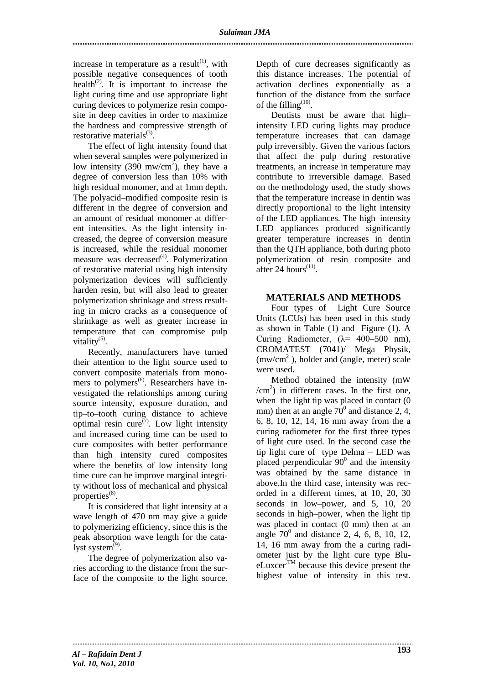increase in temperature as a result $^{(1)}$ , with possible negative consequences of tooth health<sup>(2)</sup>. It is important to increase the light curing time and use appropriate light curing devices to polymerize resin composite in deep cavities in order to maximize the hardness and compressive strength of restorative materials<sup>(3)</sup>.

The effect of light intensity found that when several samples were polymerized in low intensity (390 mw/cm<sup>2</sup>), they have a degree of conversion less than 10% with high residual monomer, and at 1mm depth. The polyacid–modified composite resin is different in the degree of conversion and an amount of residual monomer at different intensities. As the light intensity increased, the degree of conversion measure is increased, while the residual monomer measure was decreased $^{(4)}$ . Polymerization of restorative material using high intensity polymerization devices will sufficiently harden resin, but will also lead to greater polymerization shrinkage and stress resulting in micro cracks as a consequence of shrinkage as well as greater increase in temperature that can compromise pulp vitality<sup>(5)</sup>.

Recently, manufacturers have turned their attention to the light source used to convert composite materials from monomers to polymers<sup>(6)</sup>. Researchers have investigated the relationships among curing source intensity, exposure duration, and tip–to–tooth curing distance to achieve optimal resin cure<sup> $(7)$ </sup>. Low light intensity and increased curing time can be used to cure composites with better performance than high intensity cured composites where the benefits of low intensity long time cure can be improve marginal integrity without loss of mechanical and physical properties $^{(8)}$ .

It is considered that light intensity at a wave length of 470 nm may give a guide to polymerizing efficiency, since this is the peak absorption wave length for the catalyst system<sup>(9)</sup>.

The degree of polymerization also varies according to the distance from the surface of the composite to the light source.

Depth of cure decreases significantly as this distance increases. The potential of activation declines exponentially as a function of the distance from the surface of the filling<sup> $(10)$ </sup>.

Dentists must be aware that high– intensity LED curing lights may produce temperature increases that can damage pulp irreversibly. Given the various factors that affect the pulp during restorative treatments, an increase in temperature may contribute to irreversible damage. Based on the methodology used, the study shows that the temperature increase in dentin was directly proportional to the light intensity of the LED appliances. The high–intensity LED appliances produced significantly greater temperature increases in dentin than the QTH appliance, both during photo polymerization of resin composite and  $\arctan 24 \text{ hours}^{(11)}$ .

### **MATERIALS AND METHODS**

Four types of Light Cure Source Units (LCUs) has been used in this study as shown in Table (1) and Figure (1). A Curing Radiometer,  $(\lambda = 400 - 500)$  nm), CROMATEST (7041)/ Mega Physik, (mw/cm<sup>2</sup> ), holder and (angle, meter) scale were used.

Method obtained the intensity (mW  $/cm<sup>2</sup>$ ) in different cases. In the first one, when the light tip was placed in contact  $(0)$ mm) then at an angle  $70^{\circ}$  and distance 2, 4, 6, 8, 10, 12, 14, 16 mm away from the a curing radiometer for the first three types of light cure used. In the second case the tip light cure of type Delma – LED was placed perpendicular  $90^{\circ}$  and the intensity was obtained by the same distance in above.In the third case, intensity was recorded in a different times, at 10, 20, 30 seconds in low–power, and 5, 10, 20 seconds in high–power, when the light tip was placed in contact (0 mm) then at an angle  $70^{\circ}$  and distance 2, 4, 6, 8, 10, 12, 14, 16 mm away from the a curing radiometer just by the light cure type Blu $e$ Luxcer.<sup>TM</sup> because this device present the highest value of intensity in this test.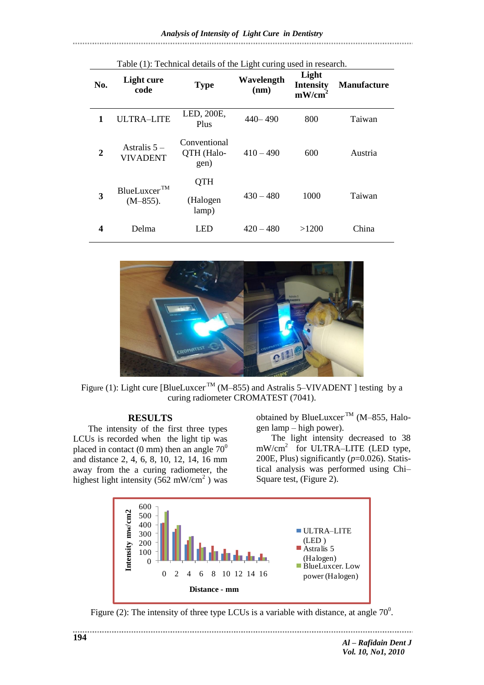| Table (1). Technical details of the Light curing used in research. |                                         |                                    |                    |                                                 |                    |
|--------------------------------------------------------------------|-----------------------------------------|------------------------------------|--------------------|-------------------------------------------------|--------------------|
| No.                                                                | Light cure<br>code                      | <b>Type</b>                        | Wavelength<br>(nm) | Light<br><b>Intensity</b><br>mW/cm <sup>2</sup> | <b>Manufacture</b> |
|                                                                    | <b>ULTRA-LITE</b>                       | LED, 200E,<br>Plus                 | $440 - 490$        | 800                                             | Taiwan             |
| $\mathbf 2$                                                        | Astralis $5-$<br><b>VIVADENT</b>        | Conventional<br>QTH (Halo-<br>gen) | $410 - 490$        | 600                                             | Austria            |
| 3                                                                  | BlueLuxcer <sup>TM</sup><br>$(M-855)$ . | <b>QTH</b>                         | $430 - 480$        | 1000                                            | Taiwan             |
|                                                                    |                                         | (Halogen<br>lamp)                  |                    |                                                 |                    |
| 4                                                                  | Delma                                   | <b>LED</b>                         | $420 - 480$        | >1200                                           | China              |

Table (1): Technical details of the Light curing used in research.



Figure (1): Light cure [BlueLuxcer<sup>TM</sup> (M-855) and Astralis 5-VIVADENT ] testing by a curing radiometer CROMATEST (7041).

#### **RESULTS**

The intensity of the first three types LCUs is recorded when the light tip was placed in contact (0 mm) then an angle  $70^0$ and distance 2, 4, 6, 8, 10, 12, 14, 16 mm away from the a curing radiometer, the highest light intensity  $(562 \text{ mW/cm}^2)$  was obtained by BlueLuxcer<sup>TM</sup> (M-855, Halogen lamp – high power).

The light intensity decreased to 38 mW/cm<sup>2</sup> for ULTRA-LITE (LED type, 200E, Plus) significantly (*p*=0.026). Statistical analysis was performed using Chi– Square test, (Figure 2).



Figure (2): The intensity of three type LCUs is a variable with distance, at angle  $70^0$ .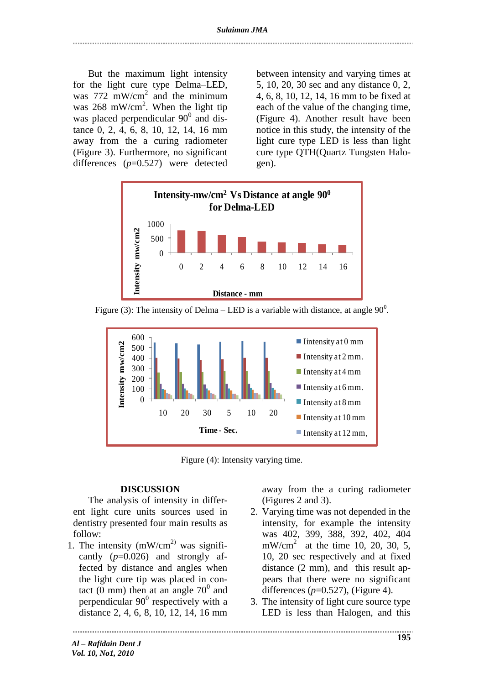## But the maximum light intensity for the light cure type Delma–LED, was 772 mW/cm<sup>2</sup> and the minimum was  $268$  mW/cm<sup>2</sup>. When the light tip was placed perpendicular  $90^{\circ}$  and distance 0, 2, 4, 6, 8, 10, 12, 14, 16 mm away from the a curing radiometer (Figure 3). Furthermore, no significant differences (*p*=0.527) were detected

between intensity and varying times at 5, 10, 20, 30 sec and any distance 0, 2, 4, 6, 8, 10, 12, 14, 16 mm to be fixed at each of the value of the changing time, (Figure 4). Another result have been notice in this study, the intensity of the light cure type LED is less than light cure type QTH(Quartz Tungsten Halogen).



Figure (3): The intensity of Delma – LED is a variable with distance, at angle  $90^0$ .



Figure (4): Intensity varying time.

## **DISCUSSION**

The analysis of intensity in different light cure units sources used in dentistry presented four main results as follow:

1. The intensity  $(mW/cm<sup>2</sup>)$  was significantly  $(p=0.026)$  and strongly affected by distance and angles when the light cure tip was placed in contact  $(0 \text{ mm})$  then at an angle  $70^0$  and perpendicular  $90^0$  respectively with a distance 2, 4, 6, 8, 10, 12, 14, 16 mm

away from the a curing radiometer (Figures 2 and 3).

- 2. Varying time was not depended in the intensity, for example the intensity was 402, 399, 388, 392, 402, 404 mW/cm<sup>2</sup> at the time 10, 20, 30, 5, 10, 20 sec respectively and at fixed distance (2 mm), and this result appears that there were no significant differences (*p*=0.527), (Figure 4).
- 3. The intensity of light cure source type LED is less than Halogen, and this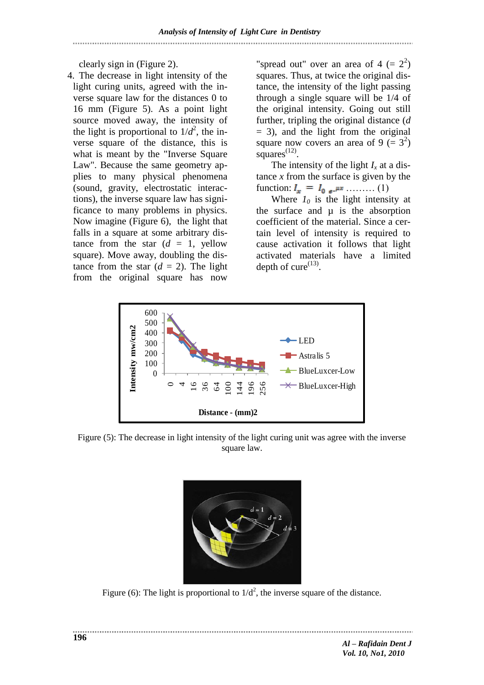clearly sign in (Figure 2).

4. The decrease in light intensity of the light curing units, agreed with the inverse square law for the distances 0 to 16 mm (Figure 5). As a point light source moved away, the intensity of the light is proportional to  $1/d^2$ , the inverse square of the distance, this is what is meant by the "Inverse Square Law". Because the same geometry applies to many physical phenomena (sound, gravity, electrostatic interactions), the inverse square law has significance to many problems in physics. Now imagine (Figure 6), the light that falls in a square at some arbitrary distance from the star  $(d = 1$ , yellow square). Move away, doubling the distance from the star  $(d = 2)$ . The light from the original square has now

"spread out" over an area of  $4 (= 2^2)$ squares. Thus, at twice the original distance, the intensity of the light passing through a single square will be 1/4 of the original intensity. Going out still further, tripling the original distance (*d*  $= 3$ ), and the light from the original square now covers an area of 9  $(= 3^2)$  $square<sup>(12)</sup>$ .

The intensity of the light  $I_x$  at a distance *x* from the surface is given by the function:  $I_x = I_0 e^{-\mu x}$  ......... (1)

Where  $I_0$  is the light intensity at the surface and u is the absorption coefficient of the material. Since a certain level of intensity is required to cause activation it follows that light activated materials have a limited depth of cure $^{(13)}$ .



Figure (5): The decrease in light intensity of the light curing unit was agree with the inverse square law.



Figure (6): The light is proportional to  $1/d^2$ , the inverse square of the distance.

*Al – Rafidain Dent J Vol. 10, No1, 2010*